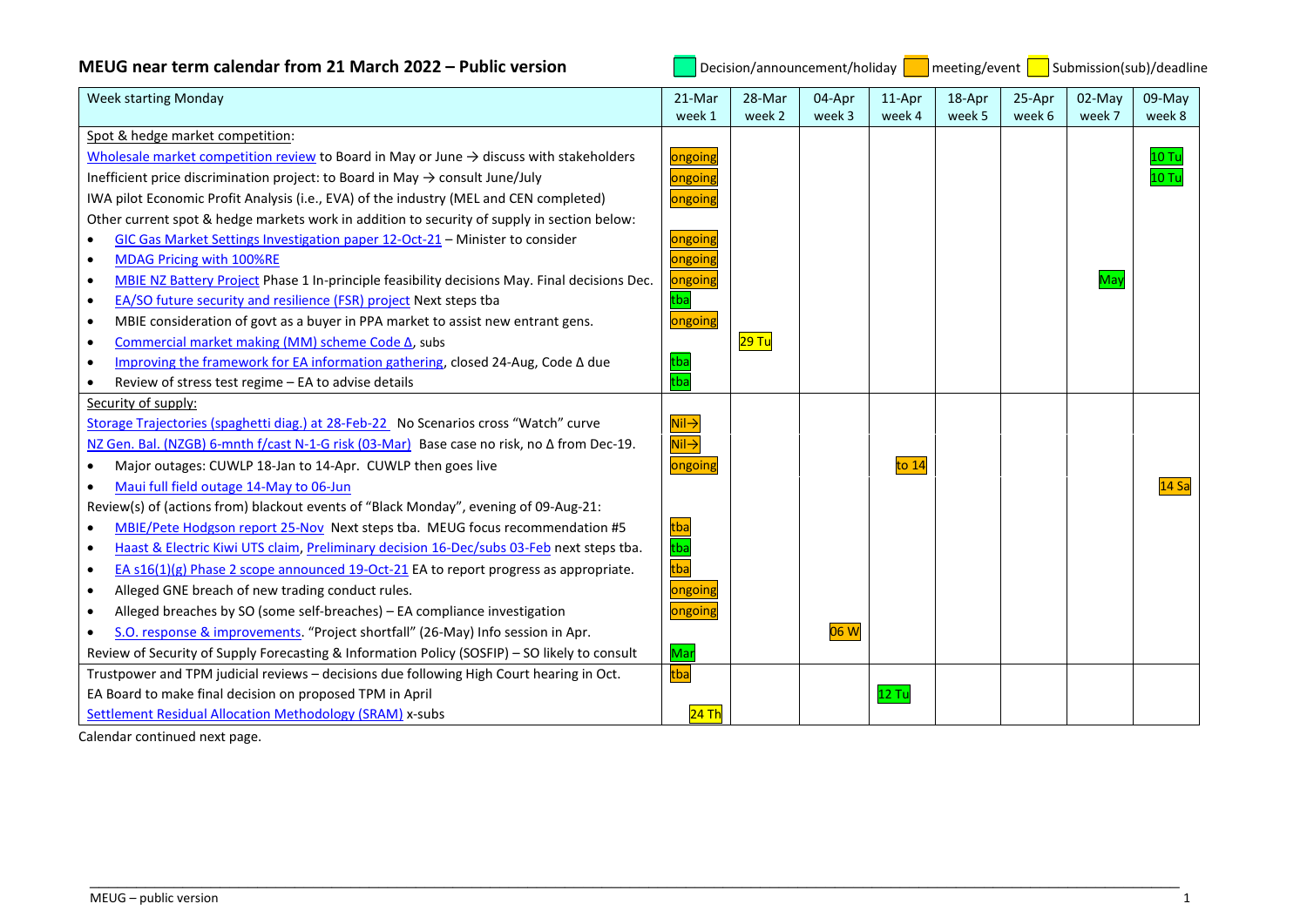## **MEUG near term calendar from 21 March 2022 – Public version <b>Decision** Decision/announcement/holiday **Devent Accept Accept** Submission(sub)/deadline

| <b>Week starting Monday</b>                                                                               | 21-Mar                               | 28-Mar | 04-Apr | 11-Apr  | 18-Apr | 25-Apr | 02-May | 09-May           |
|-----------------------------------------------------------------------------------------------------------|--------------------------------------|--------|--------|---------|--------|--------|--------|------------------|
|                                                                                                           | week 1                               | week 2 | week 3 | week 4  | week 5 | week 6 | week 7 | week 8           |
| Spot & hedge market competition:                                                                          |                                      |        |        |         |        |        |        |                  |
| Wholesale market competition review to Board in May or June $\rightarrow$ discuss with stakeholders       | ongoing                              |        |        |         |        |        |        | 10T <sub>0</sub> |
| Inefficient price discrimination project: to Board in May $\rightarrow$ consult June/July                 | ongoing                              |        |        |         |        |        |        | 10T              |
| IWA pilot Economic Profit Analysis (i.e., EVA) of the industry (MEL and CEN completed)                    | ongoing                              |        |        |         |        |        |        |                  |
| Other current spot & hedge markets work in addition to security of supply in section below:               |                                      |        |        |         |        |        |        |                  |
| GIC Gas Market Settings Investigation paper 12-Oct-21 - Minister to consider<br>$\bullet$                 | ongoing                              |        |        |         |        |        |        |                  |
| MDAG Pricing with 100%RE<br>$\bullet$                                                                     | ongoing                              |        |        |         |        |        |        |                  |
| MBIE NZ Battery Project Phase 1 In-principle feasibility decisions May. Final decisions Dec.<br>$\bullet$ | ongoing                              |        |        |         |        |        | May    |                  |
| EA/SO future security and resilience (FSR) project Next steps tba<br>$\bullet$                            | tba                                  |        |        |         |        |        |        |                  |
| MBIE consideration of govt as a buyer in PPA market to assist new entrant gens.<br>$\bullet$              | ongoing                              |        |        |         |        |        |        |                  |
| Commercial market making (MM) scheme Code Δ, subs<br>$\bullet$                                            |                                      | 29 Tu  |        |         |        |        |        |                  |
| Improving the framework for EA information gathering, closed 24-Aug, Code A due<br>$\bullet$              | tba                                  |        |        |         |        |        |        |                  |
| Review of stress test regime - EA to advise details                                                       | $\overline{tba}$                     |        |        |         |        |        |        |                  |
| Security of supply:                                                                                       |                                      |        |        |         |        |        |        |                  |
| Storage Trajectories (spaghetti diag.) at 28-Feb-22 No Scenarios cross "Watch" curve                      | $\mathsf{Nil} \mathbin{\rightarrow}$ |        |        |         |        |        |        |                  |
| NZ Gen. Bal. (NZGB) 6-mnth f/cast N-1-G risk (03-Mar) Base case no risk, no ∆ from Dec-19.                | $\overline{\mathsf{Nil}\rightarrow}$ |        |        |         |        |        |        |                  |
| Major outages: CUWLP 18-Jan to 14-Apr. CUWLP then goes live                                               | ongoing                              |        |        | to $14$ |        |        |        |                  |
| Maui full field outage 14-May to 06-Jun                                                                   |                                      |        |        |         |        |        |        | 14Sa             |
| Review(s) of (actions from) blackout events of "Black Monday", evening of 09-Aug-21:                      |                                      |        |        |         |        |        |        |                  |
| MBIE/Pete Hodgson report 25-Nov Next steps tba. MEUG focus recommendation #5<br>$\bullet$                 |                                      |        |        |         |        |        |        |                  |
| Haast & Electric Kiwi UTS claim, Preliminary decision 16-Dec/subs 03-Feb next steps tba.<br>$\bullet$     |                                      |        |        |         |        |        |        |                  |
| EA s16(1)(g) Phase 2 scope announced 19-Oct-21 EA to report progress as appropriate.<br>$\bullet$         | tba<br>tba<br>tba                    |        |        |         |        |        |        |                  |
| Alleged GNE breach of new trading conduct rules.<br>$\bullet$                                             | ongoing                              |        |        |         |        |        |        |                  |
| Alleged breaches by SO (some self-breaches) - EA compliance investigation<br>$\bullet$                    | ongoing                              |        |        |         |        |        |        |                  |
| S.O. response & improvements. "Project shortfall" (26-May) Info session in Apr.                           |                                      |        | 06 W   |         |        |        |        |                  |
| Review of Security of Supply Forecasting & Information Policy (SOSFIP) - SO likely to consult             | Mar                                  |        |        |         |        |        |        |                  |
| Trustpower and TPM judicial reviews - decisions due following High Court hearing in Oct.                  | tba                                  |        |        |         |        |        |        |                  |
| EA Board to make final decision on proposed TPM in April                                                  |                                      |        |        | $12$ Tu |        |        |        |                  |
| Settlement Residual Allocation Methodology (SRAM) x-subs                                                  | 24 Th                                |        |        |         |        |        |        |                  |

\_\_\_\_\_\_\_\_\_\_\_\_\_\_\_\_\_\_\_\_\_\_\_\_\_\_\_\_\_\_\_\_\_\_\_\_\_\_\_\_\_\_\_\_\_\_\_\_\_\_\_\_\_\_\_\_\_\_\_\_\_\_\_\_\_\_\_\_\_\_\_\_\_\_\_\_\_\_\_\_\_\_\_\_\_\_\_\_\_\_\_\_\_\_\_\_\_\_\_\_\_\_\_\_\_\_\_\_\_\_\_\_\_\_\_\_\_

Calendar continued next page.